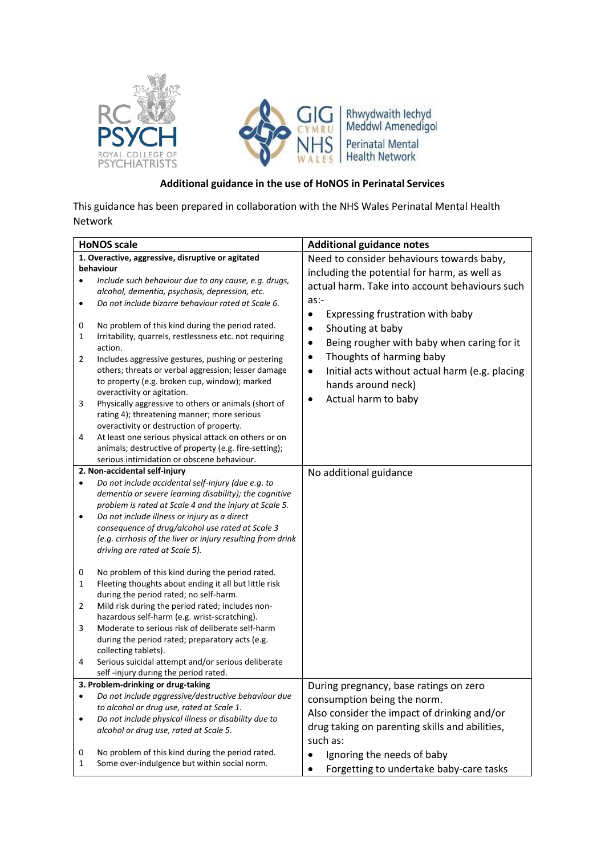

## **Additional guidance in the use of HoNOS in Perinatal Services**

This guidance has been prepared in collaboration with the NHS Wales Perinatal Mental Health Network

|           | <b>HoNOS scale</b>                                                                                   | <b>Additional guidance notes</b>                        |
|-----------|------------------------------------------------------------------------------------------------------|---------------------------------------------------------|
|           | 1. Overactive, aggressive, disruptive or agitated                                                    | Need to consider behaviours towards baby,               |
|           | behaviour                                                                                            | including the potential for harm, as well as            |
|           | Include such behaviour due to any cause, e.g. drugs,                                                 | actual harm. Take into account behaviours such          |
|           | alcohol, dementia, psychosis, depression, etc.                                                       |                                                         |
| ٠         | Do not include bizarre behaviour rated at Scale 6.                                                   | as:-                                                    |
|           |                                                                                                      | Expressing frustration with baby<br>$\bullet$           |
| 0         | No problem of this kind during the period rated.                                                     | Shouting at baby                                        |
| 1         | Irritability, quarrels, restlessness etc. not requiring                                              | Being rougher with baby when caring for it<br>$\bullet$ |
|           | action.                                                                                              | Thoughts of harming baby                                |
| 2         | Includes aggressive gestures, pushing or pestering                                                   |                                                         |
|           | others; threats or verbal aggression; lesser damage<br>to property (e.g. broken cup, window); marked | Initial acts without actual harm (e.g. placing<br>٠     |
|           | overactivity or agitation.                                                                           | hands around neck)                                      |
| 3         | Physically aggressive to others or animals (short of                                                 | Actual harm to baby<br>$\bullet$                        |
|           | rating 4); threatening manner; more serious                                                          |                                                         |
|           | overactivity or destruction of property.                                                             |                                                         |
| 4         | At least one serious physical attack on others or on                                                 |                                                         |
|           | animals; destructive of property (e.g. fire-setting);                                                |                                                         |
|           | serious intimidation or obscene behaviour.                                                           |                                                         |
|           | 2. Non-accidental self-injury                                                                        | No additional guidance                                  |
| $\bullet$ | Do not include accidental self-injury (due e.g. to                                                   |                                                         |
|           | dementia or severe learning disability); the cognitive                                               |                                                         |
|           | problem is rated at Scale 4 and the injury at Scale 5.                                               |                                                         |
|           | Do not include illness or injury as a direct                                                         |                                                         |
|           | consequence of drug/alcohol use rated at Scale 3                                                     |                                                         |
|           | (e.g. cirrhosis of the liver or injury resulting from drink                                          |                                                         |
|           | driving are rated at Scale 5).                                                                       |                                                         |
|           | No problem of this kind during the period rated.                                                     |                                                         |
| 0<br>1    | Fleeting thoughts about ending it all but little risk                                                |                                                         |
|           | during the period rated; no self-harm.                                                               |                                                         |
| 2         | Mild risk during the period rated; includes non-                                                     |                                                         |
|           | hazardous self-harm (e.g. wrist-scratching).                                                         |                                                         |
| 3         | Moderate to serious risk of deliberate self-harm                                                     |                                                         |
|           | during the period rated; preparatory acts (e.g.                                                      |                                                         |
|           | collecting tablets).                                                                                 |                                                         |
| 4         | Serious suicidal attempt and/or serious deliberate                                                   |                                                         |
|           | self-injury during the period rated.                                                                 |                                                         |
|           | 3. Problem-drinking or drug-taking                                                                   | During pregnancy, base ratings on zero                  |
| ٠         | Do not include aggressive/destructive behaviour due                                                  | consumption being the norm.                             |
|           | to alcohol or drug use, rated at Scale 1.                                                            | Also consider the impact of drinking and/or             |
|           | Do not include physical illness or disability due to                                                 | drug taking on parenting skills and abilities,          |
|           | alcohol or drug use, rated at Scale 5.                                                               | such as:                                                |
|           |                                                                                                      |                                                         |
| 0<br>1    | No problem of this kind during the period rated.<br>Some over-indulgence but within social norm.     | Ignoring the needs of baby                              |
|           |                                                                                                      | Forgetting to undertake baby-care tasks                 |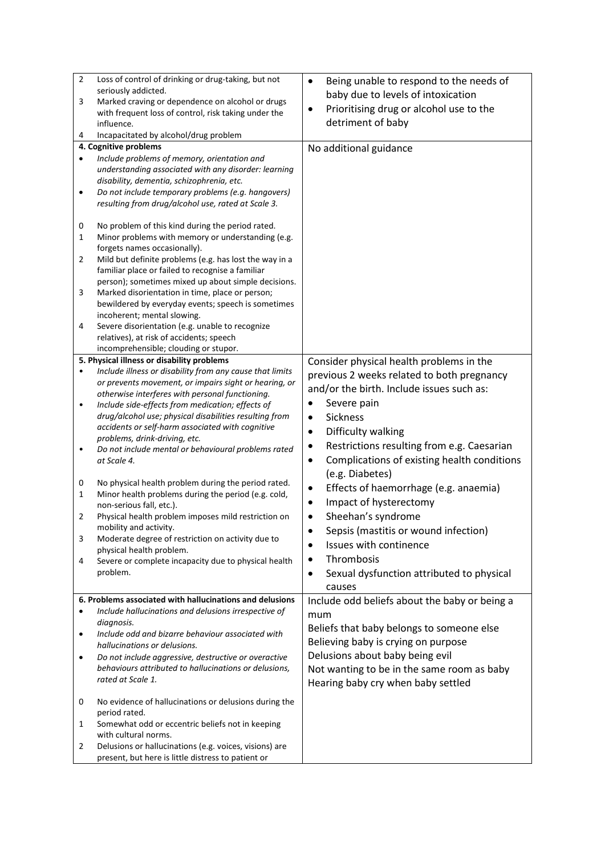| $\overline{2}$ | Loss of control of drinking or drug-taking, but not      | Being unable to respond to the needs of<br>$\bullet$     |
|----------------|----------------------------------------------------------|----------------------------------------------------------|
|                | seriously addicted.                                      | baby due to levels of intoxication                       |
| 3              | Marked craving or dependence on alcohol or drugs         | Prioritising drug or alcohol use to the<br>$\bullet$     |
|                | with frequent loss of control, risk taking under the     |                                                          |
|                | influence.                                               | detriment of baby                                        |
| 4              | Incapacitated by alcohol/drug problem                    |                                                          |
|                | 4. Cognitive problems                                    | No additional guidance                                   |
| $\bullet$      | Include problems of memory, orientation and              |                                                          |
|                | understanding associated with any disorder: learning     |                                                          |
|                | disability, dementia, schizophrenia, etc.                |                                                          |
| $\bullet$      | Do not include temporary problems (e.g. hangovers)       |                                                          |
|                | resulting from drug/alcohol use, rated at Scale 3.       |                                                          |
|                |                                                          |                                                          |
| 0              | No problem of this kind during the period rated.         |                                                          |
| 1              | Minor problems with memory or understanding (e.g.        |                                                          |
|                | forgets names occasionally).                             |                                                          |
| 2              | Mild but definite problems (e.g. has lost the way in a   |                                                          |
|                | familiar place or failed to recognise a familiar         |                                                          |
|                | person); sometimes mixed up about simple decisions.      |                                                          |
| 3              | Marked disorientation in time, place or person;          |                                                          |
|                | bewildered by everyday events; speech is sometimes       |                                                          |
|                | incoherent; mental slowing.                              |                                                          |
| 4              | Severe disorientation (e.g. unable to recognize          |                                                          |
|                | relatives), at risk of accidents; speech                 |                                                          |
|                | incomprehensible; clouding or stupor.                    |                                                          |
|                | 5. Physical illness or disability problems               | Consider physical health problems in the                 |
| $\bullet$      | Include illness or disability from any cause that limits | previous 2 weeks related to both pregnancy               |
|                | or prevents movement, or impairs sight or hearing, or    |                                                          |
|                | otherwise interferes with personal functioning.          | and/or the birth. Include issues such as:                |
| $\bullet$      | Include side-effects from medication; effects of         | Severe pain<br>٠                                         |
|                | drug/alcohol use; physical disabilities resulting from   | Sickness<br>$\bullet$                                    |
|                | accidents or self-harm associated with cognitive         | Difficulty walking<br>$\bullet$                          |
|                | problems, drink-driving, etc.                            |                                                          |
| $\bullet$      | Do not include mental or behavioural problems rated      | Restrictions resulting from e.g. Caesarian               |
|                | at Scale 4.                                              | Complications of existing health conditions<br>$\bullet$ |
|                |                                                          | (e.g. Diabetes)                                          |
| 0              | No physical health problem during the period rated.      | Effects of haemorrhage (e.g. anaemia)<br>$\bullet$       |
| 1              | Minor health problems during the period (e.g. cold,      |                                                          |
|                | non-serious fall, etc.).                                 | Impact of hysterectomy<br>٠                              |
| $\overline{2}$ | Physical health problem imposes mild restriction on      | Sheehan's syndrome<br>$\bullet$                          |
|                | mobility and activity.                                   | Sepsis (mastitis or wound infection)<br>$\bullet$        |
| 3              | Moderate degree of restriction on activity due to        | Issues with continence                                   |
|                | physical health problem.                                 |                                                          |
| 4              | Severe or complete incapacity due to physical health     | Thrombosis<br>٠                                          |
|                | problem.                                                 | Sexual dysfunction attributed to physical<br>$\bullet$   |
|                |                                                          | causes                                                   |
|                | 6. Problems associated with hallucinations and delusions | Include odd beliefs about the baby or being a            |
| ٠              | Include hallucinations and delusions irrespective of     |                                                          |
|                | diagnosis.                                               | mum                                                      |
| $\bullet$      | Include odd and bizarre behaviour associated with        | Beliefs that baby belongs to someone else                |
|                | hallucinations or delusions.                             | Believing baby is crying on purpose                      |
| $\bullet$      | Do not include aggressive, destructive or overactive     | Delusions about baby being evil                          |
|                | behaviours attributed to hallucinations or delusions,    |                                                          |
|                | rated at Scale 1.                                        | Not wanting to be in the same room as baby               |
|                |                                                          | Hearing baby cry when baby settled                       |
| 0              | No evidence of hallucinations or delusions during the    |                                                          |
|                | period rated.                                            |                                                          |
| 1              | Somewhat odd or eccentric beliefs not in keeping         |                                                          |
|                | with cultural norms.                                     |                                                          |
| 2              | Delusions or hallucinations (e.g. voices, visions) are   |                                                          |
|                | present, but here is little distress to patient or       |                                                          |
|                |                                                          |                                                          |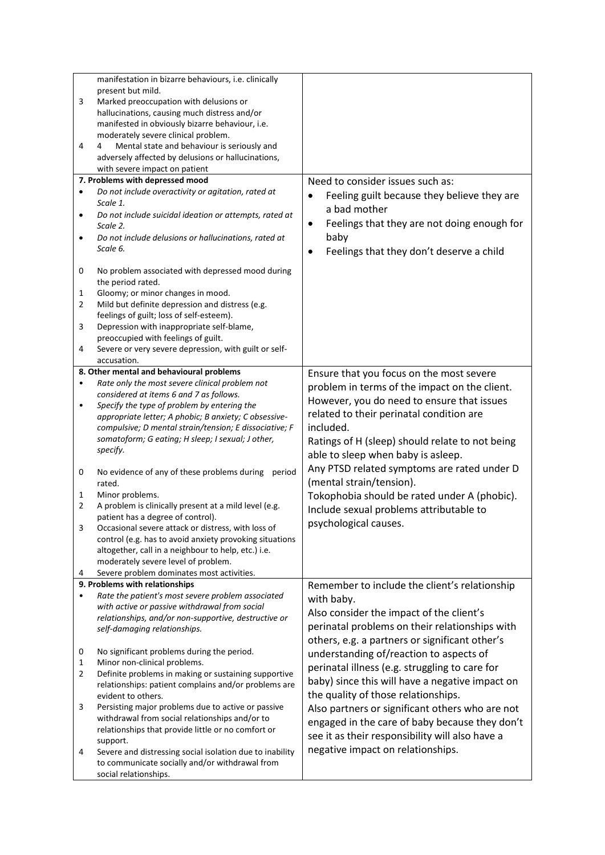|           | manifestation in bizarre behaviours, i.e. clinically     |                                                       |
|-----------|----------------------------------------------------------|-------------------------------------------------------|
|           |                                                          |                                                       |
|           | present but mild.                                        |                                                       |
| 3         | Marked preoccupation with delusions or                   |                                                       |
|           | hallucinations, causing much distress and/or             |                                                       |
|           | manifested in obviously bizarre behaviour, i.e.          |                                                       |
|           | moderately severe clinical problem.                      |                                                       |
| 4         | Mental state and behaviour is seriously and<br>4         |                                                       |
|           | adversely affected by delusions or hallucinations,       |                                                       |
|           | with severe impact on patient                            |                                                       |
|           | 7. Problems with depressed mood                          | Need to consider issues such as:                      |
|           | Do not include overactivity or agitation, rated at       |                                                       |
| $\bullet$ |                                                          | Feeling guilt because they believe they are           |
|           | Scale 1.                                                 | a bad mother                                          |
| $\bullet$ | Do not include suicidal ideation or attempts, rated at   |                                                       |
|           | Scale 2.                                                 | Feelings that they are not doing enough for<br>٠      |
| $\bullet$ | Do not include delusions or hallucinations, rated at     | baby                                                  |
|           | Scale 6.                                                 | Feelings that they don't deserve a child<br>$\bullet$ |
|           |                                                          |                                                       |
| 0         | No problem associated with depressed mood during         |                                                       |
|           | the period rated.                                        |                                                       |
| 1         | Gloomy; or minor changes in mood.                        |                                                       |
|           |                                                          |                                                       |
| 2         | Mild but definite depression and distress (e.g.          |                                                       |
|           | feelings of guilt; loss of self-esteem).                 |                                                       |
| 3         | Depression with inappropriate self-blame,                |                                                       |
|           | preoccupied with feelings of guilt.                      |                                                       |
| 4         | Severe or very severe depression, with guilt or self-    |                                                       |
|           | accusation.                                              |                                                       |
|           | 8. Other mental and behavioural problems                 | Ensure that you focus on the most severe              |
| $\bullet$ | Rate only the most severe clinical problem not           |                                                       |
|           | considered at items 6 and 7 as follows.                  | problem in terms of the impact on the client.         |
| $\bullet$ | Specify the type of problem by entering the              | However, you do need to ensure that issues            |
|           | appropriate letter; A phobic; B anxiety; C obsessive-    | related to their perinatal condition are              |
|           | compulsive; D mental strain/tension; E dissociative; F   | included.                                             |
|           |                                                          |                                                       |
|           | somatoform; G eating; H sleep; I sexual; J other,        | Ratings of H (sleep) should relate to not being       |
|           | specify.                                                 | able to sleep when baby is asleep.                    |
|           |                                                          | Any PTSD related symptoms are rated under D           |
| 0         | No evidence of any of these problems during<br>period    |                                                       |
|           | rated.                                                   | (mental strain/tension).                              |
| 1         | Minor problems.                                          | Tokophobia should be rated under A (phobic).          |
| 2         | A problem is clinically present at a mild level (e.g.    | Include sexual problems attributable to               |
|           | patient has a degree of control).                        |                                                       |
|           | Occasional severe attack or distress, with loss of       | psychological causes.                                 |
|           | control (e.g. has to avoid anxiety provoking situations  |                                                       |
|           | altogether, call in a neighbour to help, etc.) i.e.      |                                                       |
|           | moderately severe level of problem.                      |                                                       |
|           |                                                          |                                                       |
| 4         | Severe problem dominates most activities.                |                                                       |
|           | 9. Problems with relationships                           | Remember to include the client's relationship         |
| $\bullet$ | Rate the patient's most severe problem associated        | with baby.                                            |
|           | with active or passive withdrawal from social            | Also consider the impact of the client's              |
|           | relationships, and/or non-supportive, destructive or     |                                                       |
|           | self-damaging relationships.                             | perinatal problems on their relationships with        |
|           |                                                          | others, e.g. a partners or significant other's        |
| 0         | No significant problems during the period.               | understanding of/reaction to aspects of               |
| 1         | Minor non-clinical problems.                             |                                                       |
| 2         | Definite problems in making or sustaining supportive     | perinatal illness (e.g. struggling to care for        |
|           | relationships: patient complains and/or problems are     | baby) since this will have a negative impact on       |
|           | evident to others.                                       | the quality of those relationships.                   |
| 3         | Persisting major problems due to active or passive       | Also partners or significant others who are not       |
|           | withdrawal from social relationships and/or to           |                                                       |
|           |                                                          | engaged in the care of baby because they don't        |
|           | relationships that provide little or no comfort or       | see it as their responsibility will also have a       |
|           | support.                                                 | negative impact on relationships.                     |
| 4         | Severe and distressing social isolation due to inability |                                                       |
|           | to communicate socially and/or withdrawal from           |                                                       |
|           | social relationships.                                    |                                                       |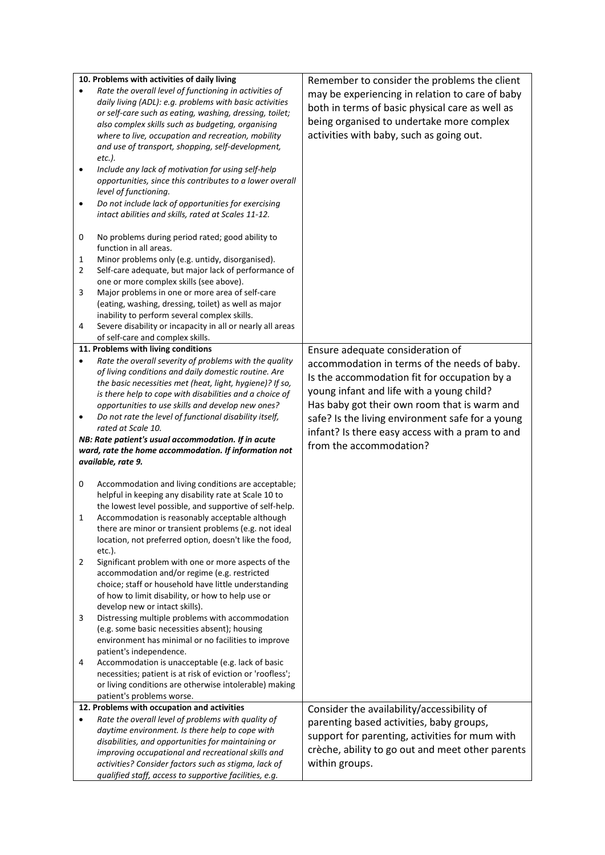|                | 10. Problems with activities of daily living                                                                   | Remember to consider the problems the client     |
|----------------|----------------------------------------------------------------------------------------------------------------|--------------------------------------------------|
| $\bullet$      | Rate the overall level of functioning in activities of                                                         | may be experiencing in relation to care of baby  |
|                | daily living (ADL): e.g. problems with basic activities                                                        |                                                  |
|                | or self-care such as eating, washing, dressing, toilet;                                                        | both in terms of basic physical care as well as  |
|                | also complex skills such as budgeting, organising                                                              | being organised to undertake more complex        |
|                | where to live, occupation and recreation, mobility                                                             | activities with baby, such as going out.         |
|                | and use of transport, shopping, self-development,                                                              |                                                  |
|                | etc.).                                                                                                         |                                                  |
| $\bullet$      | Include any lack of motivation for using self-help                                                             |                                                  |
|                | opportunities, since this contributes to a lower overall                                                       |                                                  |
|                |                                                                                                                |                                                  |
|                | level of functioning.                                                                                          |                                                  |
| $\bullet$      | Do not include lack of opportunities for exercising                                                            |                                                  |
|                | intact abilities and skills, rated at Scales 11-12.                                                            |                                                  |
|                |                                                                                                                |                                                  |
| 0              | No problems during period rated; good ability to                                                               |                                                  |
|                | function in all areas.                                                                                         |                                                  |
| 1              | Minor problems only (e.g. untidy, disorganised).                                                               |                                                  |
| $\overline{2}$ | Self-care adequate, but major lack of performance of                                                           |                                                  |
|                | one or more complex skills (see above).                                                                        |                                                  |
| 3              | Major problems in one or more area of self-care                                                                |                                                  |
|                | (eating, washing, dressing, toilet) as well as major                                                           |                                                  |
|                | inability to perform several complex skills.                                                                   |                                                  |
| 4              | Severe disability or incapacity in all or nearly all areas                                                     |                                                  |
|                | of self-care and complex skills.                                                                               |                                                  |
|                | 11. Problems with living conditions                                                                            | Ensure adequate consideration of                 |
| $\bullet$      | Rate the overall severity of problems with the quality                                                         | accommodation in terms of the needs of baby.     |
|                | of living conditions and daily domestic routine. Are                                                           | Is the accommodation fit for occupation by a     |
|                | the basic necessities met (heat, light, hygiene)? If so,                                                       |                                                  |
|                | is there help to cope with disabilities and a choice of                                                        | young infant and life with a young child?        |
|                | opportunities to use skills and develop new ones?                                                              | Has baby got their own room that is warm and     |
| $\bullet$      | Do not rate the level of functional disability itself,                                                         | safe? Is the living environment safe for a young |
|                |                                                                                                                |                                                  |
|                | rated at Scale 10.                                                                                             |                                                  |
|                | NB: Rate patient's usual accommodation. If in acute                                                            | infant? Is there easy access with a pram to and  |
|                | ward, rate the home accommodation. If information not                                                          | from the accommodation?                          |
|                | available, rate 9.                                                                                             |                                                  |
|                |                                                                                                                |                                                  |
| 0              | Accommodation and living conditions are acceptable;                                                            |                                                  |
|                | helpful in keeping any disability rate at Scale 10 to                                                          |                                                  |
|                | the lowest level possible, and supportive of self-help.                                                        |                                                  |
| 1              | Accommodation is reasonably acceptable although                                                                |                                                  |
|                | there are minor or transient problems (e.g. not ideal                                                          |                                                  |
|                | location, not preferred option, doesn't like the food,                                                         |                                                  |
|                | etc.).                                                                                                         |                                                  |
| 2              | Significant problem with one or more aspects of the                                                            |                                                  |
|                | accommodation and/or regime (e.g. restricted                                                                   |                                                  |
|                | choice; staff or household have little understanding                                                           |                                                  |
|                | of how to limit disability, or how to help use or                                                              |                                                  |
|                | develop new or intact skills).                                                                                 |                                                  |
| 3              | Distressing multiple problems with accommodation                                                               |                                                  |
|                | (e.g. some basic necessities absent); housing                                                                  |                                                  |
|                | environment has minimal or no facilities to improve                                                            |                                                  |
|                | patient's independence.                                                                                        |                                                  |
| 4              | Accommodation is unacceptable (e.g. lack of basic                                                              |                                                  |
|                | necessities; patient is at risk of eviction or 'roofless';                                                     |                                                  |
|                | or living conditions are otherwise intolerable) making                                                         |                                                  |
|                | patient's problems worse.                                                                                      |                                                  |
|                | 12. Problems with occupation and activities                                                                    |                                                  |
| $\bullet$      |                                                                                                                | Consider the availability/accessibility of       |
|                | Rate the overall level of problems with quality of                                                             | parenting based activities, baby groups,         |
|                | daytime environment. Is there help to cope with                                                                | support for parenting, activities for mum with   |
|                | disabilities, and opportunities for maintaining or                                                             | crèche, ability to go out and meet other parents |
|                | improving occupational and recreational skills and                                                             |                                                  |
|                | activities? Consider factors such as stigma, lack of<br>qualified staff, access to supportive facilities, e.g. | within groups.                                   |